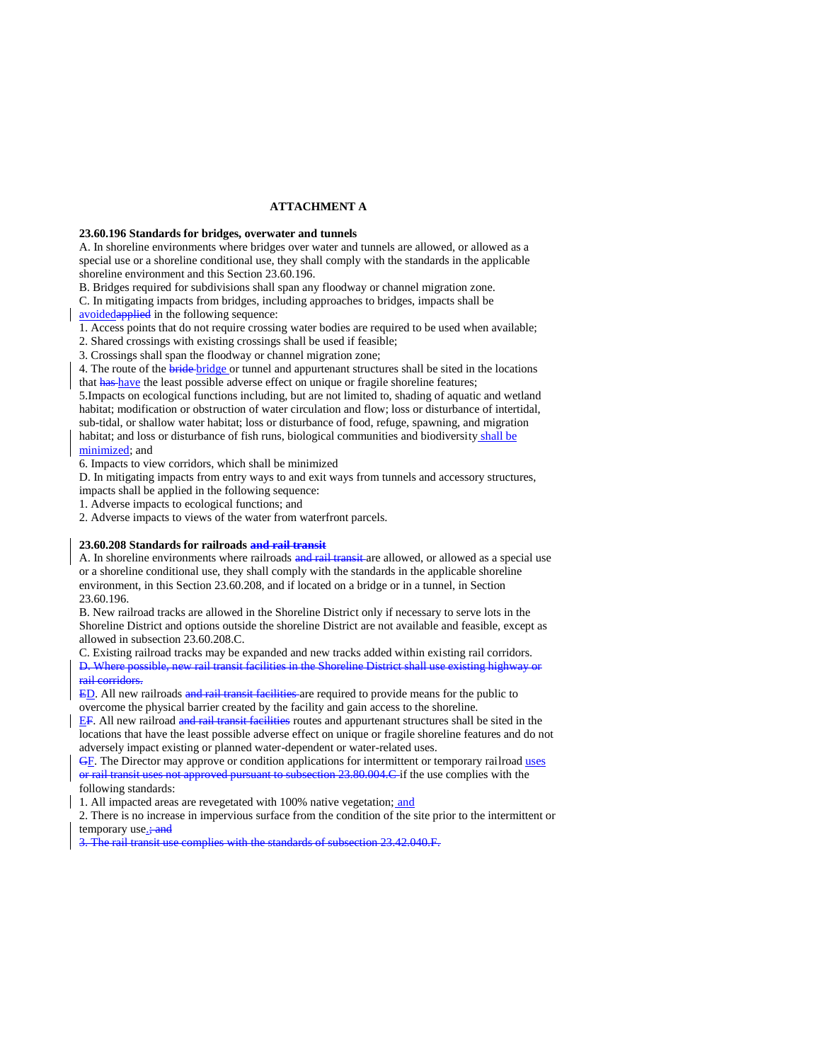# **ATTACHMENT A**

#### **23.60.196 Standards for bridges, overwater and tunnels**

A. In shoreline environments where bridges over water and tunnels are allowed, or allowed as a special use or a shoreline conditional use, they shall comply with the standards in the applicable shoreline environment and this Section 23.60.196.

B. Bridges required for subdivisions shall span any floodway or channel migration zone.

C. In mitigating impacts from bridges, including approaches to bridges, impacts shall be

avoidedapplied in the following sequence:

1. Access points that do not require crossing water bodies are required to be used when available;

2. Shared crossings with existing crossings shall be used if feasible;

3. Crossings shall span the floodway or channel migration zone;

4. The route of the bridge or tunnel and appurtenant structures shall be sited in the locations that has have the least possible adverse effect on unique or fragile shoreline features;

5.Impacts on ecological functions including, but are not limited to, shading of aquatic and wetland habitat; modification or obstruction of water circulation and flow; loss or disturbance of intertidal, sub-tidal, or shallow water habitat; loss or disturbance of food, refuge, spawning, and migration habitat; and loss or disturbance of fish runs, biological communities and biodiversity shall be minimized; and

6. Impacts to view corridors, which shall be minimized

D. In mitigating impacts from entry ways to and exit ways from tunnels and accessory structures, impacts shall be applied in the following sequence:

1. Adverse impacts to ecological functions; and

2. Adverse impacts to views of the water from waterfront parcels.

#### **23.60.208 Standards for railroads and rail transit**

A. In shoreline environments where railroads and rail transit are allowed, or allowed as a special use or a shoreline conditional use, they shall comply with the standards in the applicable shoreline environment, in this Section 23.60.208, and if located on a bridge or in a tunnel, in Section 23.60.196.

B. New railroad tracks are allowed in the Shoreline District only if necessary to serve lots in the Shoreline District and options outside the shoreline District are not available and feasible, except as allowed in subsection 23.60.208.C.

C. Existing railroad tracks may be expanded and new tracks added within existing rail corridors. D. Where possible, new rail transit facilities in the Shoreline District shall use existing highway or rail corrid

ED. All new railroads and rail transit facilities are required to provide means for the public to overcome the physical barrier created by the facility and gain access to the shoreline.

EF. All new railroad and rail transit facilities routes and appurtenant structures shall be sited in the locations that have the least possible adverse effect on unique or fragile shoreline features and do not adversely impact existing or planned water-dependent or water-related uses.

GF. The Director may approve or condition applications for intermittent or temporary railroad uses or rail transit uses not approved pursuant to subsection 23.80.004.C if the use complies with the following standards:

1. All impacted areas are revegetated with 100% native vegetation; and

2. There is no increase in impervious surface from the condition of the site prior to the intermittent or temporary use.; and

3. The rail transit use complies with the standards of subsection 23.42.040.F.